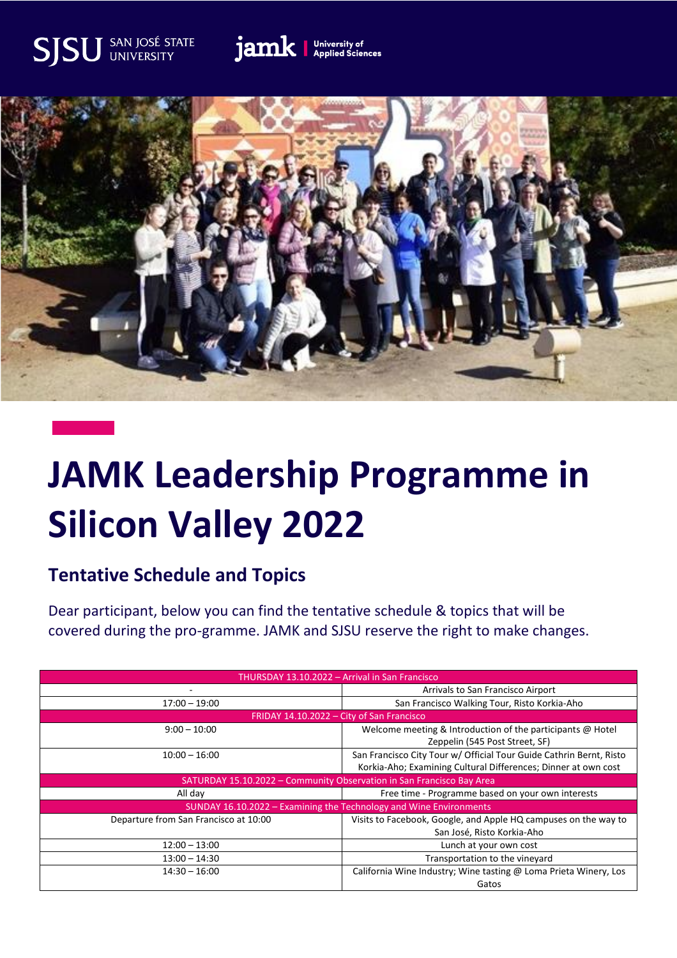## SAN JOSÉ STATE<br>UNIVERSITY SJSI





## **JAMK Leadership Programme in Silicon Valley 2022**

## **Tentative Schedule and Topics**

Dear participant, below you can find the tentative schedule & topics that will be covered during the pro-gramme. JAMK and SJSU reserve the right to make changes.

| THURSDAY 13.10.2022 - Arrival in San Francisco                        |                                                                                                                                       |  |
|-----------------------------------------------------------------------|---------------------------------------------------------------------------------------------------------------------------------------|--|
|                                                                       | Arrivals to San Francisco Airport                                                                                                     |  |
| $17:00 - 19:00$                                                       | San Francisco Walking Tour, Risto Korkia-Aho                                                                                          |  |
| FRIDAY 14.10.2022 - City of San Francisco                             |                                                                                                                                       |  |
| $9:00 - 10:00$                                                        | Welcome meeting & Introduction of the participants @ Hotel<br>Zeppelin (545 Post Street, SF)                                          |  |
| $10:00 - 16:00$                                                       | San Francisco City Tour w/ Official Tour Guide Cathrin Bernt, Risto<br>Korkia-Aho; Examining Cultural Differences; Dinner at own cost |  |
| SATURDAY 15.10.2022 - Community Observation in San Francisco Bay Area |                                                                                                                                       |  |
| All day                                                               | Free time - Programme based on your own interests                                                                                     |  |
| SUNDAY 16.10.2022 - Examining the Technology and Wine Environments    |                                                                                                                                       |  |
| Departure from San Francisco at 10:00                                 | Visits to Facebook, Google, and Apple HQ campuses on the way to<br>San José, Risto Korkia-Aho                                         |  |
| $12:00 - 13:00$                                                       | Lunch at your own cost                                                                                                                |  |
| $13:00 - 14:30$                                                       | Transportation to the vineyard                                                                                                        |  |
| $14:30 - 16:00$                                                       | California Wine Industry; Wine tasting @ Loma Prieta Winery, Los<br>Gatos                                                             |  |